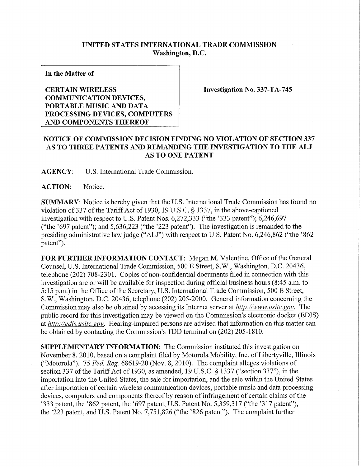## **UNITED STATES INTERNATIONAL TRADE COMMISSION Washington, D.C.**

**In the Matter of** 

## **CERTAIN WIRELES S COMMUNICATION DEVICES, PORTABLE MUSIC AND DATA PROCESSING DEVICES , COMPUTERS AND COMPONENTS THEREOF**

**Investigation No. 337-TA-745** 

## **NOTICE OF COMMISSION DECISION FINDING NO VIOLATION OF SECTION 337 AS TO THRE E PATENTS AND REMANDING TH E INVESTIGATION TO THE AL J AS TO ONE PATENT**

**AGENCY:** U**.S.** International Trade Commission.

ACTION: Notice.

**SUMMARY:** Notice is hereby given that the U.S. International Trade Commission has found no violation of 337 of the Tariff Act of 1930, 19 U.S.C. § 1337, in the above-captioned investigation with respect to U.S. Patent Nos. 6,272,333 ("the '333 patent"); 6,246,697 ("the '697 patent"); and 5,636,223 ("the '223 patent"). The investigation is remanded to the presiding administrative law judge ("ALJ") with respect to U.S. Patent No. 6,246,862 ("the '862 patent").

FOR FURTHER INFORMATION CONTACT: Megan M. Valentine, Office of the General Counsel, U.S. International Trade Commission, 500 E Street, S.W., Washington, D.C. 20436, telephone (202) 708-2301. Copies of non-confidential documents filed in connection with this investigation are or will be available for inspection during official business hours (8:45 a.m. to 5:15 p.m.) in the Office of the Secretary, U.S. International Trade Commission, 500 E Street, S.W., Washington, D.C. 20436, telephone (202) 205-2000. General information concerning the Commission may also be obtained by accessing its Internet server at *http://www. usitc. gov.* The public record for this investigation may be viewed on the Commission's electronic docket (EDIS) at *http://edis. usitc. gov.* Hearing-impaired persons are advised that information on this matter can be obtained by contacting the Commission's TDD terminal on (202) 205-1810.

**SUPPLEMENTARY INFORMATION:** The Commission instituted this investigation on November 8, 2010, based on a complaint filed by Motorola Mobility, Inc. of Liberty ville, Illinois ("Motorola"). 75 *Fed, Reg.* 68619-20 (Nov. 8, 2010). The complaint alleges violations of section 337 of the Tariff Act of 1930, as amended, 19 U.S.C. § 1337 ("section 337"), in the importation into the United States, the sale for importation, and the sale within the United States after importation of certain wireless communication devices, portable music and data processing devices, computers and components thereof by reason of infringement of certain claims of the '333 patent, the '862 patent, the '697 patent, U.S. Patent No. 5,359,317 ("the '317 patent"), the '223 patent, and U.S. Patent No. 7,751,826 ("the '826 patent"). The complaint further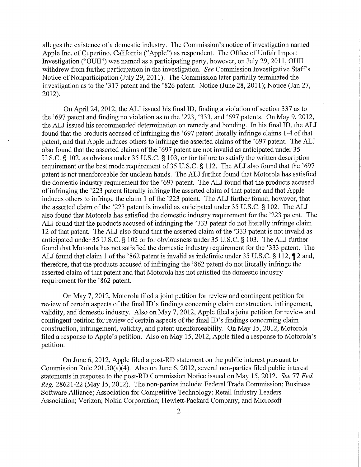alleges the existence of a domestic industry. The Commission's notice of investigation named Apple Inc. of Cupertino, California ("Apple") as respondent. The Office of Unfair Import Investigation ("OUII") was named as a participating party, however, on July 29, 2011, OUII withdrew from further participation in the investigation. See Commission Investigative Staff's Notice of Nonparticipation (July 29, 2011). The Commission later partially terminated the investigation as to the '317 patent and the '826 patent. Notice (June 28, 2011); Notice (Jan 27, 2012).

On April 24, 2012, the ALJ issued his final ID, finding a violation of section 337 as to the '697 patent and finding no violation as to the '223, '333, and '697 patents. On May 9, 2012, the ALJ issued his recommended determination on remedy and bonding. In his final ID, the ALJ found that the products accused of infringing the '697 patent literally infringe claims 1-4 of that patent, and that Apple induces others to infringe the asserted claims of the '697 patent. The ALJ also found that the asserted claims of the '697 patent are not invalid as anticipated under 35 U.S.C. § 102, as obvious under 35 U.S.C. § 103, or for failure to satisfy the written description requirement or the best mode requirement of 35 U.S.C. § 112. The ALJ also found that the '697 patent is not unenforceable for unclean hands. The ALJ further found that Motorola has satisfied the domestic industry requirement for the '697 patent. The ALJ found that the products accused of infringing the '223 patent literally infringe the asserted claim of that patent and that Apple induces others to infringe the claim 1 of the '223 patent. The ALJ further found, however, that the asserted claim of the '223 patent is invalid as anticipated under 35 U.S.C. § 102. The ALJ also found that Motorola has satisfied the domestic industry requirement for the '223 patent. The ALJ found that the products accused of infringing the '333 patent do not literally infringe claim 12 of that patent. The ALJ also found that the asserted claim of the '333 patent is not invalid as anticipated under 35 U.S.C. § 102 or for obviousness under 35 U.S.C. § 103. The ALJ further found that Motorola has not satisfied the domestic industry requirement for the '333 patent. The ALJ found that claim 1 of the '862 patent is invalid as indefinite under 35 U.S.C. § 112, ¶ 2 and, therefore, that the products accused of infringing the '862 patent do not literally infringe the asserted claim of that patent and that Motorola has not satisfied the domestic industry requirement for the '862 patent.

On May 7, 2012, Motorola filed a joint petition for review and contingent petition for review of certain aspects of the final ID's findings concerning claim construction, infringement, validity, and domestic industry. Also on May 7, 2012, Apple filed a joint petition for review and contingent petition for review of certain aspects of the final ID's findings concerning claim construction, infringement, validity, and patent unenforceability. On May 15, 2012, Motorola filed a response to Apple's petition. Also on May 15, 2012, Apple filed a response to Motorola's petition.

On June 6, 2012, Apple filed a post-RD statement on the public interest pursuant to Commission Rule 201.50(a)(4). Also on June 6, 2012, several non-parties filed public interest statements in response to the post-RD Commission Notice issued on May 15, 2012. *See 11 Fed. Reg.* 28621-22 (May 15, 2012). The non-parties include: Federal Trade Commission; Business Software Alliance; Association for Competitive Technology; Retail Industry Leaders Association; Verizon; Nokia Corporation; Hewlett-Packard Company; and Microsoft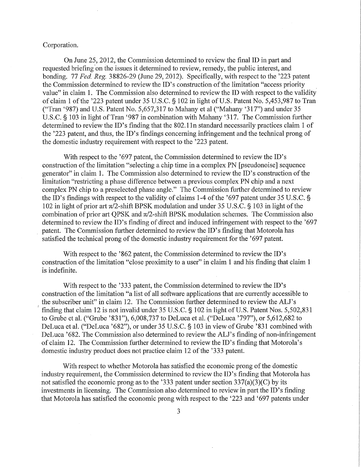## Corporation.

On June 25, 2012, the Commission determined to review the final ID in part and requested briefing on the issues it determined to review, remedy, the public interest, and bonding. 77 *Fed. Reg.* 38826-29 (June 29, 2012). Specifically, with respect to the '223 patent the Commission determined to review the ID's construction of the limitation "access priority value" in claim 1. The Commission also determined to review the ID with respect to the validity of claim 1 ofthe '223 patent under 35 U.S.C. § 102 in light of U.S. Patent No. 5,453,987 to Tran ("Tran '987) and U.S. Patent No. 5,657,317 to Mahany et al ("Mahany '317") and under 35 U.S.C. § 103 in light of Tran '987 in combination with Mahany '317. The Commission further determined to review the ID's finding that the 802.11n standard necessarily practices claim 1 of the '223 patent, and thus, the ID's findings concerning infringement and the technical prong of the domestic industry requirement with respect to the '223 patent.

With respect to the '697 patent, the Commission determined to review the ID's construction of the limitation "selecting a chip time in a complex PN [pseudonoise] sequence generator" in claim 1. The Commission also determined to review the ID's construction of the limitation "restricting a phase difference between a previous complex PN chip and a next complex PN chip to a preselected phase angle." The Commission further determined to review the ID's findings with respect to the validity of claims 1-4 of the '697 patent under 35 U.S.C. § 102 in light of prior art  $\pi/2$ -shift BPSK modulation and under 35 U.S.C. § 103 in light of the combination of prior art QPSK and  $\pi/2$ -shift BPSK modulation schemes. The Commission also determined to review the ID's finding of direct and induced infringement with respect to the '697 patent. The Commission further determined to review the ID's finding that Motorola has satisfied the technical prong of the domestic industry requirement for the '697 patent.

With respect to the '862 patent, the Commission determined to review the ID's construction of the limitation "close proximity to a user" in claim 1 and his finding that claim 1 is indefinite.

With respect to the '333 patent, the Commission determined to review the ID's construction of the limitation "a list of all software applications that are currently accessible to the subscriber unit" in claim 12. The Commission further determined to review the ALJ's finding that claim 12 is not invalid under 35 U.S.C. § 102 in light of U.S. Patent Nos. 5,502,831 to Grube et al. ("Grube '831"), 6,008,737 to DeLuca et al. ("DeLuca '797"), or 5,612,682 to DeLuca et al. ("DeLuca '682"), or under 35 U.S.C. § 103 in view of Grube '831 combined with DeLuca '682. The Commission also determined to review the ALJ's finding of non-infringement of claim 12. The Commission further determined to review the ID's finding that Motorola's domestic industry product does not practice claim 12 of the '333 patent.

With respect to whether Motorola has satisfied the economic prong of the domestic industry requirement, the Commission determined to review the ID's finding that Motorola has not satisfied the economic prong as to the '333 patent under section 337(a)(3)(C) by its investments in licensing. The Commission also determined to review in part the ID's finding that Motorola has satisfied the economic prong with respect to the '223 and '697 patents under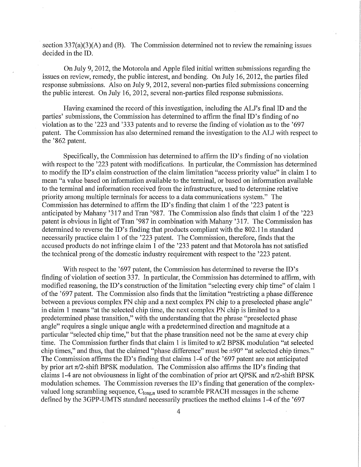section  $337(a)(3)(A)$  and (B). The Commission determined not to review the remaining issues decided in the ID.

On July 9, 2012, the Motorola and Apple filed initial written submissions regarding the issues on review, remedy, the public interest, and bonding. On July 16, 2012, the parties filed response submissions. Also on July 9, 2012, several non-parties filed submissions concerning the public interest. On July 16, 2012, several non-parties filed response submissions.

Having examined the record of this investigation, including the ALJ's final ID and the parties' submissions, the Commission has determined to affirm the final ID's finding of no violation as to the '223 and '333 patents and to reverse the finding of violation as to the '697 patent. The Commission has also determined remand the investigation to the ALJ with respect to the '862 patent.

Specifically, the Commission has determined to affirm the ID's finding of no violation with respect to the '223 patent with modifications. In particular, the Commission has determined to modify the ID's claim construction of the claim limitation "access priority value" in claim 1 to mean "a value based on information available to the terminal, or based on information available to the terminal and information received from the infrastructure, used to determine relative priority among multiple terminals for access to a data communications system." The Commission has determined to affirm the ID's finding that claim 1 of the '223 patent is anticipated by Mahany '317 and Tran '987. The Commission also finds that claim 1 of the '223 patent is obvious in light of Tran '987 in combination with Mahany '317. The Commission has determined to reverse the ID's finding that products compliant with the 802.11n standard necessarily practice claim 1 of the '223 patent. The Commission, therefore, finds that the accused products do not infringe claim 1 of the '233 patent and that Motorola has not satisfied the technical prong of the domestic industry requirement with respect to the '223 patent.

With respect to the '697 patent, the Commission has determined to reverse the ID's finding of violation of section 337. In particular, the Commission has determined to affirm, with modified reasoning, the ID's construction of the limitation "selecting every chip time" of claim 1 of the '697 patent. The Commission also finds that the limitation "restricting a phase difference between a previous complex PN chip and a next complex PN chip to a preselected phase angle" in claim 1 means "at the selected chip time, the next complex PN chip is limited to a predetermined phase transition," with the understanding that the phrase "preselected phase angle" requires a single unique angle with a predetermined direction and magnitude at a particular "selected chip time," but that the phase transition need not be the same at every chip time. The Commission further finds that claim 1 is limited to  $\pi/2$  BPSK modulation "at selected chip times," and thus, that the claimed "phase difference" must be ±90° "at selected chip times." The Commission affirms the ID's finding that claims 1-4 of the '697 patent are not anticipated by prior art  $\pi/2$ -shift BPSK modulation. The Commission also affirms the ID's finding that claims 1-4 are not obviousness in light of the combination of prior art QPSK and  $\pi/2$ -shift BPSK modulation schemes. The Commission reverses the ID's finding that generation of the complexvalued long scrambling sequence, Ciong**,n** used to scramble PRACH messages in the scheme defined by the 3GPP-UMTS standard necessarily practices the method claims 1-4 of the '697